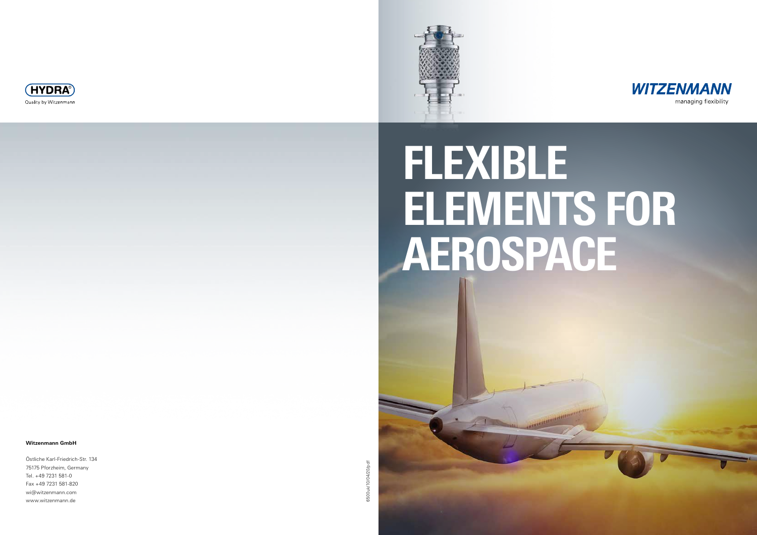## **Witzenmann GmbH**

Östliche Karl-Friedrich-Str. 134 75175 Pforzheim, Germany Tel. +49 7231 581-0 Fax +49 7231 581-820 wi@witzenmann.com www.witzenmann.de

6500uk/10/04/20/pdf 6500uk/10/04/20/pdf







# FLEXIBLE ELEMENTS FOR AEROSPACE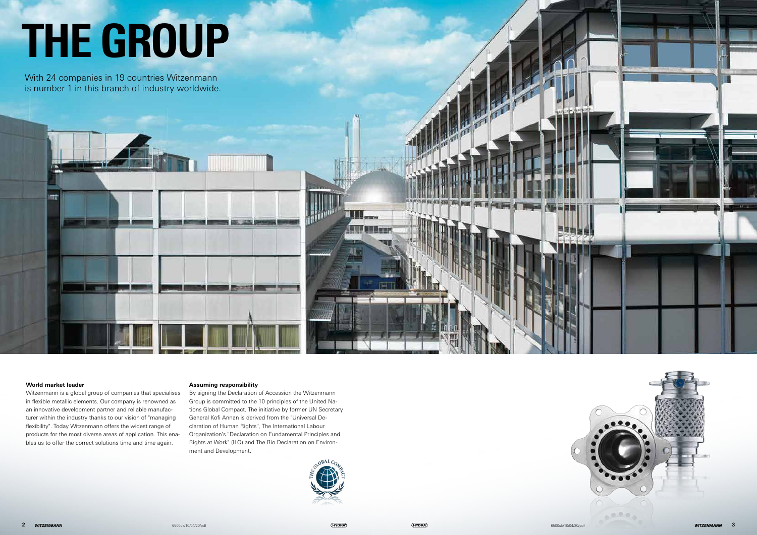**2** 6500uk/10/04/20/pdf 6500uk/10/04/20/pdf **3**





## **World market leader**

Witzenmann is a global group of companies that specialises in flexible metallic elements. Our company is renowned as an innovative development partner and reliable manufacturer within the industry thanks to our vision of "managing flexibility". Today Witzenmann offers the widest range of products for the most diverse areas of application. This enables us to offer the correct solutions time and time again.

## **Assuming responsibility**

By signing the Declaration of Accession the Witzenmann Group is committed to the 10 principles of the United Nations Global Compact. The initiative by former UN Secretary General Kofi Annan is derived from the "Universal Declaration of Human Rights", The International Labour Organization's "Declaration on Fundamental Principles and Rights at Work" (ILO) and The Rio Declaration on Environment and Development.



With 24 companies in 19 countries Witzenmann is number 1 in this branch of industry worldwide.



# THE GROUP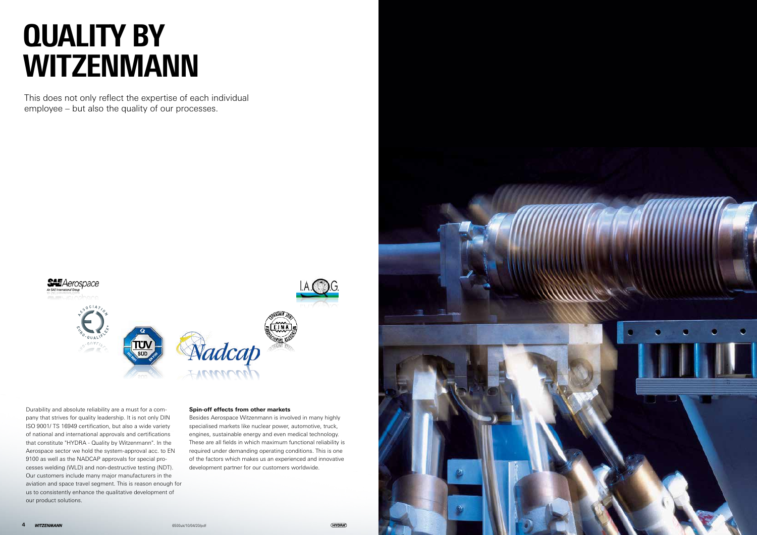

This does not only reflect the expertise of each individual employee – but also the quality of our processes.



Durability and absolute reliability are a must for a company that strives for quality leadership. It is not only DIN ISO 9001/ TS 16949 certification, but also a wide variety of national and international approvals and certifications that constitute "HYDRA - Quality by Witzenmann". In the Aerospace sector we hold the system-approval acc. to EN 9100 as well as the NADCAP approvals for special processes welding (WLD) and non-destructive testing (NDT). Our customers include many major manufacturers in the aviation and space travel segment. This is reason enough for us to consistently enhance the qualitative development of our product solutions.

## **Spin-off effects from other markets**

Besides Aerospace Witzenmann is involved in many highly specialised markets like nuclear power, automotive, truck, engines, sustainable energy and even medical technology. These are all fields in which maximum functional reliability is required under demanding operating conditions. This is one of the factors which makes us an experienced and innovative development partner for our customers worldwide.

## QUALITY BY WITZENMANN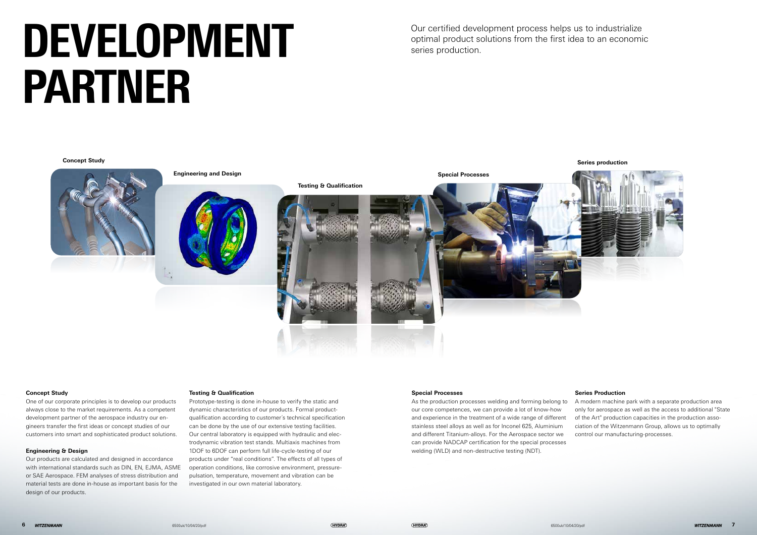## **Concept Study Series production**

# DEVELOPMENT PARTNER

Our certified development process helps us to industrialize optimal product solutions from the first idea to an economic series production.





## **Concept Study**

One of our corporate principles is to develop our products always close to the market requirements. As a competent development partner of the aerospace industry our engineers transfer the first ideas or concept studies of our customers into smart and sophisticated product solutions.

## **Engineering & Design**

Our products are calculated and designed in accordance with international standards such as DIN, EN, EJMA, ASME or SAE Aerospace. FEM analyses of stress distribution and material tests are done in-house as important basis for the design of our products.

## **Testing & Qualification**

Prototype-testing is done in-house to verify the static and dynamic characteristics of our products. Formal productqualification according to customer´s technical specification can be done by the use of our extensive testing facilities. Our central laboratory is equipped with hydraulic and electrodynamic vibration test stands. Multiaxis machines from 1DOF to 6DOF can perform full life-cycle-testing of our products under "real conditions". The effects of all types of operation conditions, like corrosive environment, pressurepulsation, temperature, movement and vibration can be investigated in our own material laboratory.



## **Special Processes**

As the production processes welding and forming belong to our core competences, we can provide a lot of know-how and experience in the treatment of a wide range of different stainless steel alloys as well as for Inconel 625, Aluminium and different Titanium-alloys. For the Aerospace sector we can provide NADCAP certification for the special processes welding (WLD) and non-destructive testing (NDT). A modern machine park with a separate production area only for aerospace as well as the access to additional "State of the Art" production capacities in the production association of the Witzenmann Group, allows us to optimally control our manufacturing-processes.

## **Series Production**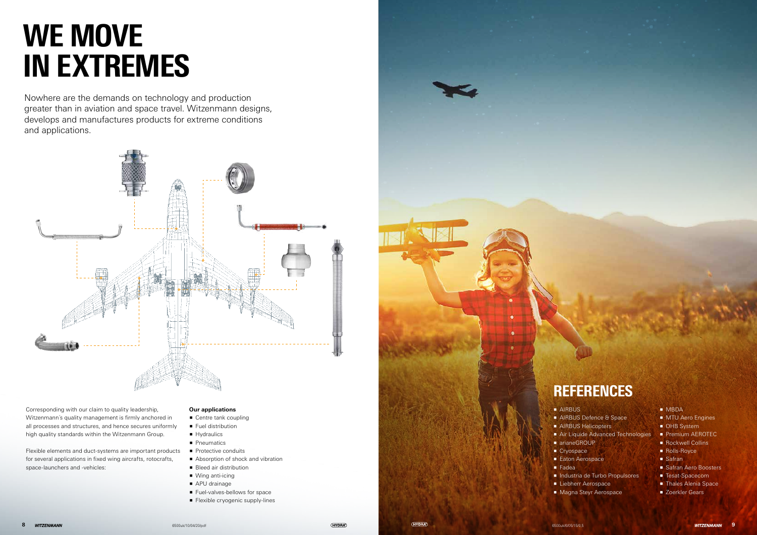Nowhere are the demands on technology and production greater than in aviation and space travel. Witzenmann designs, develops and manufactures products for extreme conditions and applications.



Corresponding with our claim to quality leadership, Witzenmann´s quality management is firmly anchored in all processes and structures, and hence secures uniformly high quality standards within the Witzenmann Group.

Flexible elements and duct-systems are important products for several applications in fixed wing aircrafts, rotocrafts, space-launchers and -vehicles:

## **Our applications**

- Centre tank coupling
- **Fuel distribution**
- $\blacksquare$  Hydraulics
- **P**neumatics
- $\blacksquare$  Protective conduits
- Absorption of shock and vibration
- **Bleed air distribution**
- $\blacksquare$  Wing anti-icing
- $\blacksquare$  APU drainage
- **Fuel-valves-bellows for space**
- **Flexible cryogenic supply-lines**



- **AIRBUS**
- 
- 
- arianeGROUP
	- $Cryospace$
	- $\blacksquare$  Fadea
	-
	-

## **REFERENCES**

- AIRBUS Defence & Space
- **AIRBUS Helicopters**
- **Air Liquide Advanced Technologies** 
	-
- **Eaton Aerospace** 
	-
- p Industria de Turbo Propulsores
- **Exercise Liebherr Aerospace**
- **Magna Steyr Aerospace**

## **D** MBDA

- **NTU Aero Engines**
- **DHB** System
- Premium AEROTEC
- $\blacksquare$  Rockwell Collins
- **Rolls-Royce**
- $\blacksquare$  Safran
- **B** Safran Aero Boosters
- Tesat-Spacecom
- **F** Thales Alenia Space
- **E** Zoerkler Gears

## WE MOVE IN EXTREMES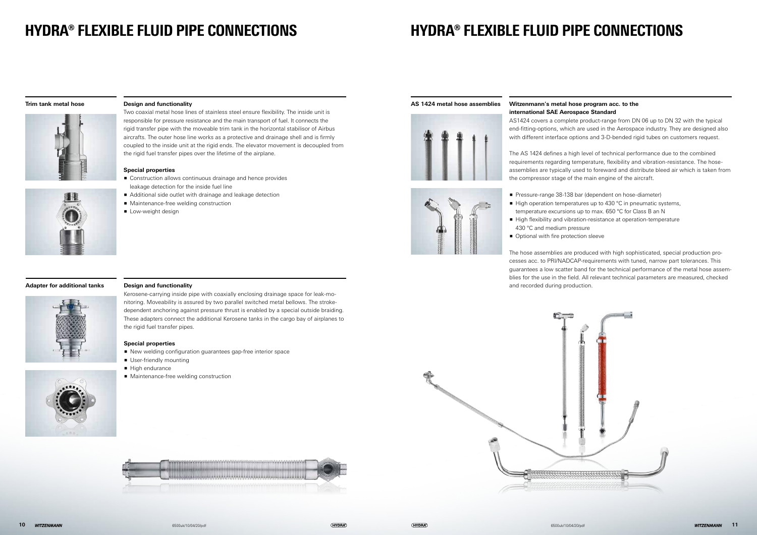## **Trim tank metal hose**



## **Adapter for additional tanks Design and functionality**



Kerosene-carrying inside pipe with coaxially enclosing drainage space for leak-monitoring. Moveability is assured by two parallel switched metal bellows. The strokedependent anchoring against pressure thrust is enabled by a special outside braiding. These adapters connect the additional Kerosene tanks in the cargo bay of airplanes to the rigid fuel transfer pipes.

## **Special properties**

- **P** New welding configuration guarantees gap-free interior space
- **User-friendly mounting**
- $\blacksquare$  High endurance
- **Maintenance-free welding construction**









## HYDRA® FLEXIBLE FLUID PIPE CONNECTIONS

## **Design and functionality**

AS1424 covers a complete product-range from DN 06 up to DN 32 with the typical end-fitting-options, which are used in the Aerospace industry. They are designed also with different interface options and 3-D-bended rigid tubes on customers request.

Two coaxial metal hose lines of stainless steel ensure flexibility. The inside unit is responsible for pressure resistance and the main transport of fuel. It connects the rigid transfer pipe with the moveable trim tank in the horizontal stabilisor of Airbus aircrafts. The outer hose line works as a protective and drainage shell and is firmly coupled to the inside unit at the rigid ends. The elevator movement is decoupled from the rigid fuel transfer pipes over the lifetime of the airplane.

> **Pressure-range 38-138 bar (dependent on hose-diameter)**  $\blacksquare$  High operation temperatures up to 430 °C in pneumatic systems, temperature excursions up to max. 650 °C for Class B an N p High flexibility and vibration-resistance at operation-temperature

- 
- 
- 430 °C and medium pressure
- **Optional with fire protection sleeve**

## **Special properties**

- Construction allows continuous drainage and hence provides leakage detection for the inside fuel line
- Additional side outlet with drainage and leakage detection
- Maintenance-free welding construction
- **D** Low-weight design

## HYDRA® FLEXIBLE FLUID PIPE CONNECTIONS

## **AS 1424 metal hose assemblies Witzenmann's metal hose program acc. to the international SAE Aerospace Standard**

The AS 1424 defines a high level of technical performance due to the combined requirements regarding temperature, flexibility and vibration-resistance. The hoseassemblies are typically used to foreward and distribute bleed air which is taken from the compressor stage of the main engine of the aircraft.

The hose assemblies are produced with high sophisticated, special production processes acc. to PRI/NADCAP-requirements with tuned, narrow part tolerances. This guarantees a low scatter band for the technical performance of the metal hose assemblies for the use in the field. All relevant technical parameters are measured, checked and recorded during production.

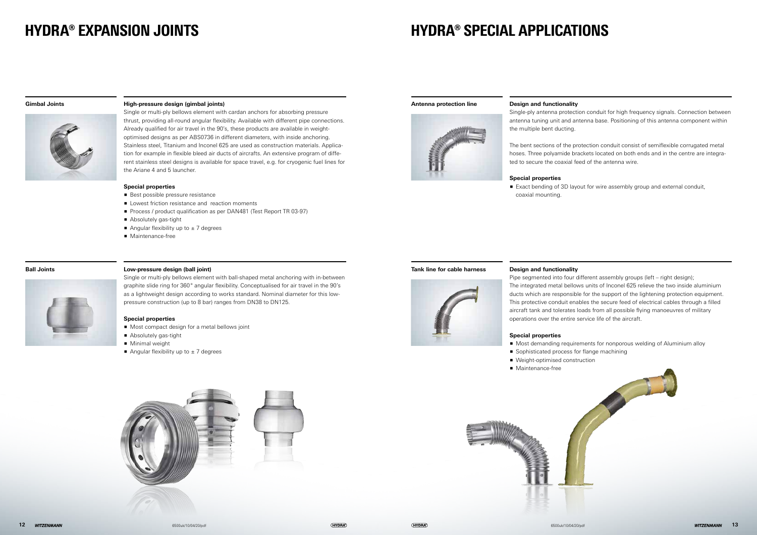## HYDRA® EXPANSION JOINTS

## **Gimbal Joints High-pressure design (gimbal joints)**

Single or multi-ply bellows element with cardan anchors for absorbing pressure thrust, providing all-round angular flexibility. Available with different pipe connections. Already qualified for air travel in the 90's, these products are available in weightoptimised designs as per ABS0736 in different diameters, with inside anchoring. Stainless steel, Titanium and Inconel 625 are used as construction materials. Application for example in flexible bleed air ducts of aircrafts. An extensive program of different stainless steel designs is available for space travel, e.g. for cryogenic fuel lines for the Ariane 4 and 5 launcher.

## **Special properties**

- $\blacksquare$  Best possible pressure resistance
- $\blacksquare$  Lowest friction resistance and reaction moments
- **Process / product qualification as per DAN481 (Test Report TR 03-97)**
- **Absolutely gas-tight**
- Angular flexibility up to  $\pm$  7 degrees
- $\blacksquare$  Maintenance-free



Single or multi-ply bellows element with ball-shaped metal anchoring with in-between graphite slide ring for 360° angular flexibility. Conceptualised for air travel in the 90's as a lightweight design according to works standard. Nominal diameter for this lowpressure construction (up to 8 bar) ranges from DN38 to DN125.

Pipe segmented into four different assembly groups (left – right design); The integrated metal bellows units of Inconel 625 relieve the two inside aluminium ducts which are responsible for the support of the lightening protection equipment. This protective conduit enables the secure feed of electrical cables through a filled aircraft tank and tolerates loads from all possible flying manoeuvres of military operations over the entire service life of the aircraft.

## **Special properties**

- Most compact design for a metal bellows joint
- **Absolutely gas-tight**
- **Ninimal weight**
- Angular flexibility up to  $\pm$  7 degrees



## **Ball Joints**

## **Antenna protection line**



## HYDRA® SPECIAL APPLICATIONS



## **Design and functionality**

Single-ply antenna protection conduit for high frequency signals. Connection between antenna tuning unit and antenna base. Positioning of this antenna component within the multiple bent ducting.

The bent sections of the protection conduit consist of semiflexible corrugated metal hoses. Three polyamide brackets located on both ends and in the centre are integrated to secure the coaxial feed of the antenna wire.

## **Special properties**

coaxial mounting.

## **Tank line for cable harness Design and functionality**

## **Special properties**

- 
- 
- Weight-optimised construction
- Maintenance-free



■ Exact bending of 3D layout for wire assembly group and external conduit,

■ Most demanding requirements for nonporous welding of Aluminium alloy ■ Sophisticated process for flange machining